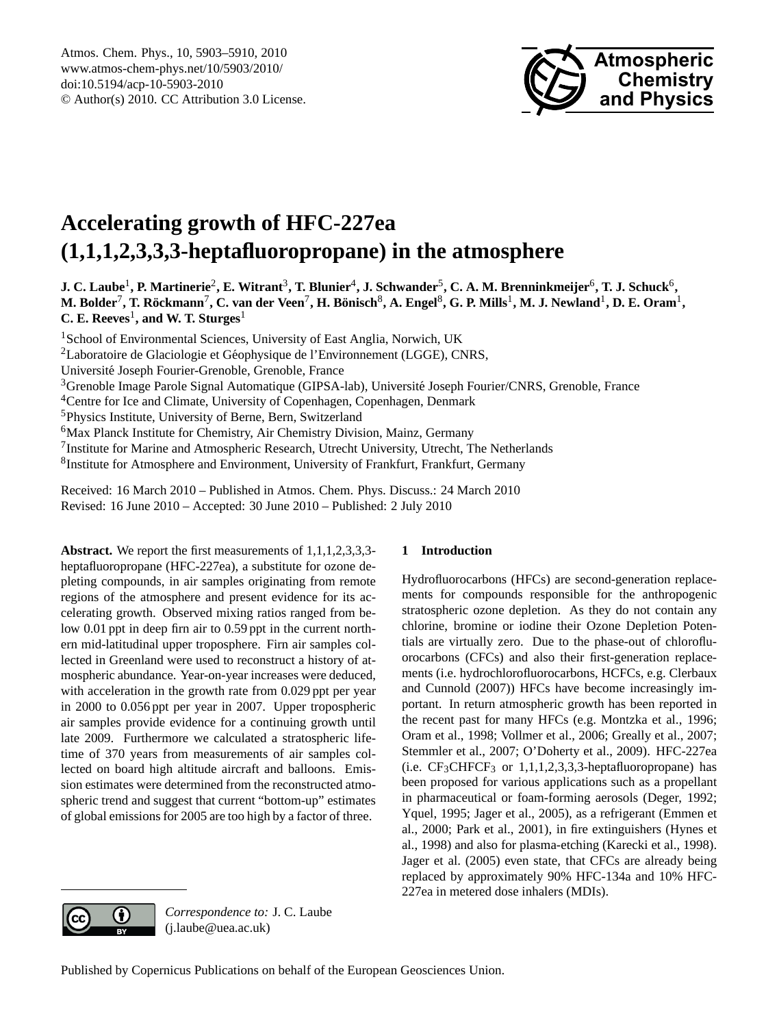

# <span id="page-0-0"></span>**Accelerating growth of HFC-227ea (1,1,1,2,3,3,3-heptafluoropropane) in the atmosphere**

**J. C. Laube**<sup>1</sup> **, P. Martinerie**<sup>2</sup> **, E. Witrant**<sup>3</sup> **, T. Blunier**<sup>4</sup> **, J. Schwander**<sup>5</sup> **, C. A. M. Brenninkmeijer**<sup>6</sup> **, T. J. Schuck**<sup>6</sup> **,**  $M$ . Bolder<sup>7</sup>, T. Röckmann<sup>7</sup>, C. van der Veen<sup>7</sup>, H. Bönisch $^8$ , A. Engel $^8$ , G. P. Mills<sup>1</sup>, M. J. Newland<sup>1</sup>, D. E. Oram<sup>1</sup>, **C. E. Reeves**<sup>1</sup> **, and W. T. Sturges**<sup>1</sup>

<sup>1</sup>School of Environmental Sciences, University of East Anglia, Norwich, UK <sup>2</sup>Laboratoire de Glaciologie et Géophysique de l'Environnement (LGGE), CNRS, Universite Joseph Fourier-Grenoble, Grenoble, France ´ <sup>3</sup>Grenoble Image Parole Signal Automatique (GIPSA-lab), Universite Joseph Fourier/CNRS, Grenoble, France ´ <sup>4</sup>Centre for Ice and Climate, University of Copenhagen, Copenhagen, Denmark <sup>5</sup>Physics Institute, University of Berne, Bern, Switzerland <sup>6</sup>Max Planck Institute for Chemistry, Air Chemistry Division, Mainz, Germany <sup>7</sup> Institute for Marine and Atmospheric Research, Utrecht University, Utrecht, The Netherlands <sup>8</sup>Institute for Atmosphere and Environment, University of Frankfurt, Frankfurt, Germany

Received: 16 March 2010 – Published in Atmos. Chem. Phys. Discuss.: 24 March 2010 Revised: 16 June 2010 – Accepted: 30 June 2010 – Published: 2 July 2010

**Abstract.** We report the first measurements of 1,1,1,2,3,3,3heptafluoropropane (HFC-227ea), a substitute for ozone depleting compounds, in air samples originating from remote regions of the atmosphere and present evidence for its accelerating growth. Observed mixing ratios ranged from below 0.01 ppt in deep firm air to 0.59 ppt in the current northern mid-latitudinal upper troposphere. Firn air samples collected in Greenland were used to reconstruct a history of atmospheric abundance. Year-on-year increases were deduced, with acceleration in the growth rate from 0.029 ppt per year in 2000 to 0.056 ppt per year in 2007. Upper tropospheric air samples provide evidence for a continuing growth until late 2009. Furthermore we calculated a stratospheric lifetime of 370 years from measurements of air samples collected on board high altitude aircraft and balloons. Emission estimates were determined from the reconstructed atmospheric trend and suggest that current "bottom-up" estimates of global emissions for 2005 are too high by a factor of three.

# **1 Introduction**

Hydrofluorocarbons (HFCs) are second-generation replacements for compounds responsible for the anthropogenic stratospheric ozone depletion. As they do not contain any chlorine, bromine or iodine their Ozone Depletion Potentials are virtually zero. Due to the phase-out of chlorofluorocarbons (CFCs) and also their first-generation replacements (i.e. hydrochlorofluorocarbons, HCFCs, e.g. Clerbaux and Cunnold (2007)) HFCs have become increasingly important. In return atmospheric growth has been reported in the recent past for many HFCs (e.g. Montzka et al., 1996; Oram et al., 1998; Vollmer et al., 2006; Greally et al., 2007; Stemmler et al., 2007; O'Doherty et al., 2009). HFC-227ea (i.e.  $CF_3CHFCF_3$  or  $1,1,1,2,3,3,3$ -heptafluoropropane) has been proposed for various applications such as a propellant in pharmaceutical or foam-forming aerosols (Deger, 1992; Yquel, 1995; Jager et al., 2005), as a refrigerant (Emmen et al., 2000; Park et al., 2001), in fire extinguishers (Hynes et al., 1998) and also for plasma-etching (Karecki et al., 1998). Jager et al. (2005) even state, that CFCs are already being replaced by approximately 90% HFC-134a and 10% HFC-227ea in metered dose inhalers (MDIs).



*Correspondence to:* J. C. Laube (j.laube@uea.ac.uk)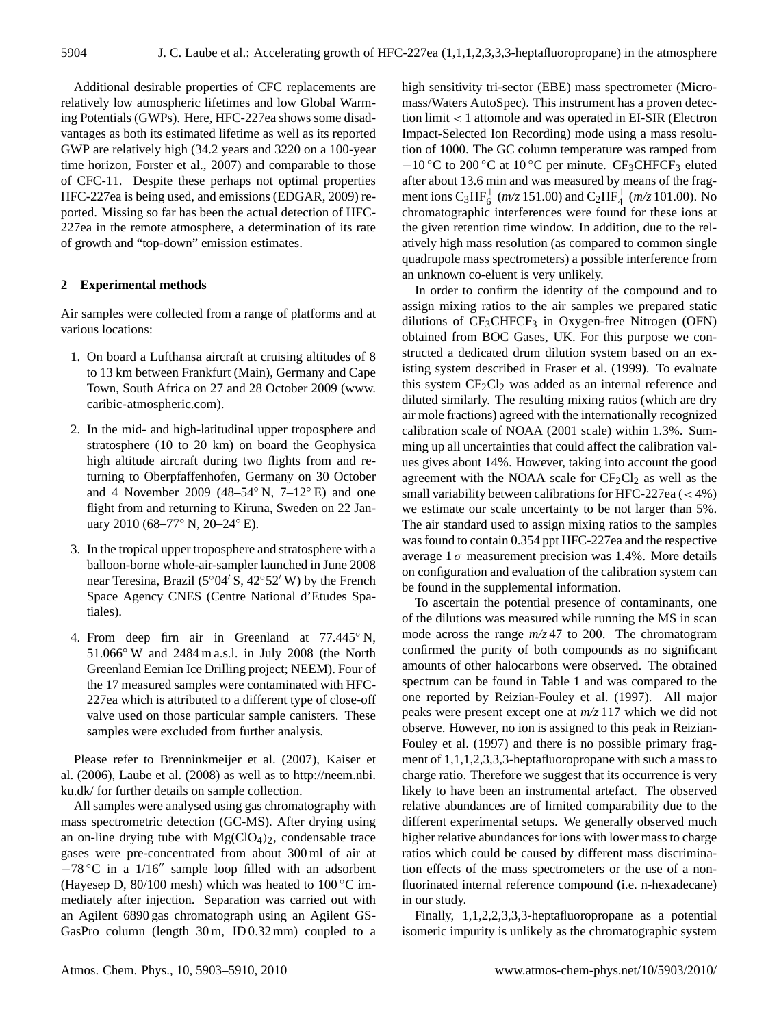Additional desirable properties of CFC replacements are relatively low atmospheric lifetimes and low Global Warming Potentials (GWPs). Here, HFC-227ea shows some disadvantages as both its estimated lifetime as well as its reported GWP are relatively high (34.2 years and 3220 on a 100-year time horizon, Forster et al., 2007) and comparable to those of CFC-11. Despite these perhaps not optimal properties HFC-227ea is being used, and emissions (EDGAR, 2009) reported. Missing so far has been the actual detection of HFC-227ea in the remote atmosphere, a determination of its rate of growth and "top-down" emission estimates.

## **2 Experimental methods**

Air samples were collected from a range of platforms and at various locations:

- 1. On board a Lufthansa aircraft at cruising altitudes of 8 to 13 km between Frankfurt (Main), Germany and Cape Town, South Africa on 27 and 28 October 2009 [\(www.](www.caribic-atmospheric.com) [caribic-atmospheric.com\)](www.caribic-atmospheric.com).
- 2. In the mid- and high-latitudinal upper troposphere and stratosphere (10 to 20 km) on board the Geophysica high altitude aircraft during two flights from and returning to Oberpfaffenhofen, Germany on 30 October and 4 November 2009 (48–54° N,  $7-12°$  E) and one flight from and returning to Kiruna, Sweden on 22 January 2010 (68–77◦ N, 20–24◦ E).
- 3. In the tropical upper troposphere and stratosphere with a balloon-borne whole-air-sampler launched in June 2008 near Teresina, Brazil ( $5°04'$  S,  $42°52'$  W) by the French Space Agency CNES (Centre National d'Etudes Spatiales).
- 4. From deep firn air in Greenland at 77.445° N, 51.066◦ W and 2484 m a.s.l. in July 2008 (the North Greenland Eemian Ice Drilling project; NEEM). Four of the 17 measured samples were contaminated with HFC-227ea which is attributed to a different type of close-off valve used on those particular sample canisters. These samples were excluded from further analysis.

Please refer to Brenninkmeijer et al. (2007), Kaiser et al. (2006), Laube et al. (2008) as well as to [http://neem.nbi.](http://neem.nbi.ku.dk/) [ku.dk/](http://neem.nbi.ku.dk/) for further details on sample collection.

All samples were analysed using gas chromatography with mass spectrometric detection (GC-MS). After drying using an on-line drying tube with  $Mg(CIO<sub>4</sub>)<sub>2</sub>$ , condensable trace gases were pre-concentrated from about 300 ml of air at  $-78$  °C in a 1/16" sample loop filled with an adsorbent (Hayesep D, 80/100 mesh) which was heated to  $100\degree\text{C}$  immediately after injection. Separation was carried out with an Agilent 6890 gas chromatograph using an Agilent GS-GasPro column (length 30 m, ID 0.32 mm) coupled to a high sensitivity tri-sector (EBE) mass spectrometer (Micromass/Waters AutoSpec). This instrument has a proven detection limit < 1 attomole and was operated in EI-SIR (Electron Impact-Selected Ion Recording) mode using a mass resolution of 1000. The GC column temperature was ramped from  $-10$  °C to 200 °C at 10 °C per minute. CF<sub>3</sub>CHFCF<sub>3</sub> eluted after about 13.6 min and was measured by means of the fragment ions C<sub>3</sub>HF<sub>6</sub><sup>+</sup></sup> ( $m/z$  151.00) and C<sub>2</sub>HF<sub>4</sub><sup>+</sup> ( $m/z$  101.00). No chromatographic interferences were found for these ions at the given retention time window. In addition, due to the relatively high mass resolution (as compared to common single quadrupole mass spectrometers) a possible interference from an unknown co-eluent is very unlikely.

In order to confirm the identity of the compound and to assign mixing ratios to the air samples we prepared static dilutions of  $CF_3CHFCF_3$  in Oxygen-free Nitrogen (OFN) obtained from BOC Gases, UK. For this purpose we constructed a dedicated drum dilution system based on an existing system described in Fraser et al. (1999). To evaluate this system  $CF_2Cl_2$  was added as an internal reference and diluted similarly. The resulting mixing ratios (which are dry air mole fractions) agreed with the internationally recognized calibration scale of NOAA (2001 scale) within 1.3%. Summing up all uncertainties that could affect the calibration values gives about 14%. However, taking into account the good agreement with the NOAA scale for  $CF_2Cl_2$  as well as the small variability between calibrations for HFC-227ea  $\left( < 4\% \right)$ we estimate our scale uncertainty to be not larger than 5%. The air standard used to assign mixing ratios to the samples was found to contain 0.354 ppt HFC-227ea and the respective average  $1\sigma$  measurement precision was 1.4%. More details on configuration and evaluation of the calibration system can be found in the supplemental information.

To ascertain the potential presence of contaminants, one of the dilutions was measured while running the MS in scan mode across the range *m/z* 47 to 200. The chromatogram confirmed the purity of both compounds as no significant amounts of other halocarbons were observed. The obtained spectrum can be found in Table 1 and was compared to the one reported by Reizian-Fouley et al. (1997). All major peaks were present except one at *m/z* 117 which we did not observe. However, no ion is assigned to this peak in Reizian-Fouley et al. (1997) and there is no possible primary fragment of 1,1,1,2,3,3,3-heptafluoropropane with such a mass to charge ratio. Therefore we suggest that its occurrence is very likely to have been an instrumental artefact. The observed relative abundances are of limited comparability due to the different experimental setups. We generally observed much higher relative abundances for ions with lower mass to charge ratios which could be caused by different mass discrimination effects of the mass spectrometers or the use of a nonfluorinated internal reference compound (i.e. n-hexadecane) in our study.

Finally, 1,1,2,2,3,3,3-heptafluoropropane as a potential isomeric impurity is unlikely as the chromatographic system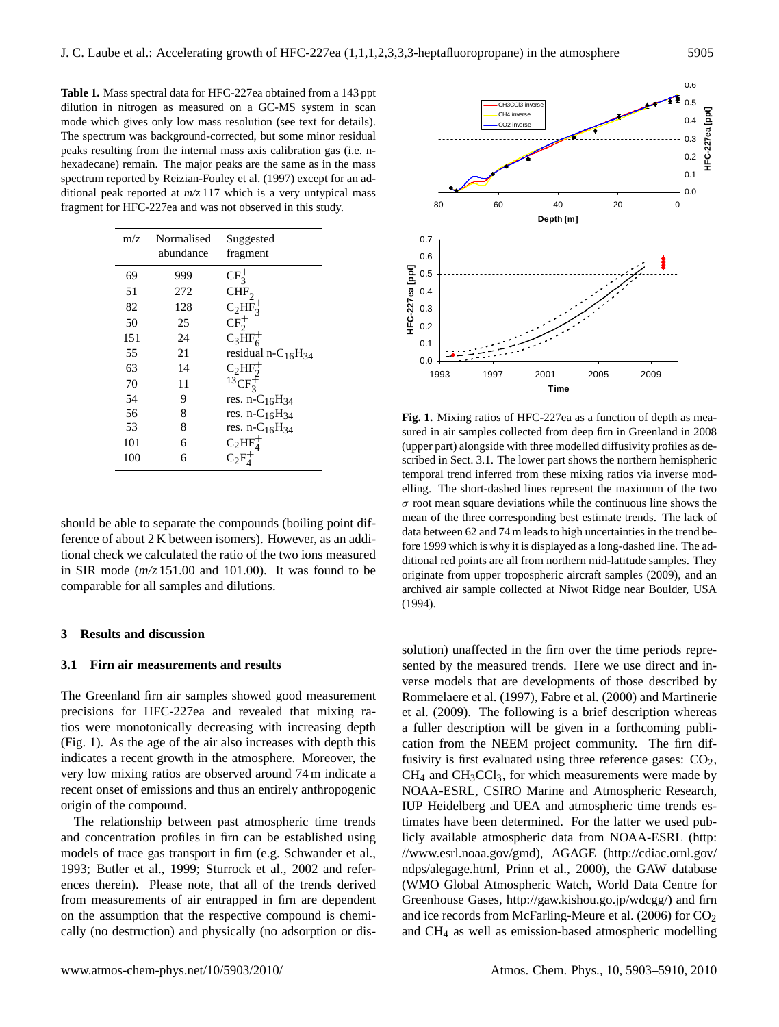**Table 1.** Mass spectral data for HFC-227ea obtained from a 143 ppt dilution in nitrogen as measured on a GC-MS system in scan mode which gives only low mass resolution (see text for details). The spectrum was background-corrected, but some minor residual peaks resulting from the internal mass axis calibration gas (i.e. nhexadecane) remain. The major peaks are the same as in the mass spectrum reported by Reizian-Fouley et al. (1997) except for an additional peak reported at *m/z* 117 which is a very untypical mass fragment for HFC-227ea and was not observed in this study.

| m/z | Normalised<br>abundance | Suggested<br>fragment                      |
|-----|-------------------------|--------------------------------------------|
| 69  | 999                     | $CF_3^+$                                   |
| 51  | 272                     | CHF <sub>2</sub>                           |
| 82  | 128                     | $C_2HF_3^+$                                |
| 50  | 25                      | $CF_2^+$                                   |
| 151 | 24                      | $C_3\text{HF}_6^+$                         |
| 55  | 21                      | residual n-C <sub>16</sub> H <sub>34</sub> |
| 63  | 14                      | $C_2HF_2^+$                                |
| 70  | 11                      | $13CF_2^+$                                 |
| 54  | 9                       | res. $n - C_{16}H_{34}$                    |
| 56  | 8                       | res. n-C <sub>16</sub> H <sub>34</sub>     |
| 53  | 8                       | res. n-C <sub>16</sub> H <sub>34</sub>     |
| 101 | 6                       | $C_2HF_4^+$                                |
| 100 | 6                       | $C_2F_4^+$                                 |

should be able to separate the compounds (boiling point difference of about 2 K between isomers). However, as an additional check we calculated the ratio of the two ions measured in SIR mode (*m/z* 151.00 and 101.00). It was found to be comparable for all samples and dilutions.

## **3 Results and discussion**

#### **3.1 Firn air measurements and results**

The Greenland firn air samples showed good measurement precisions for HFC-227ea and revealed that mixing ratios were monotonically decreasing with increasing depth (Fig. 1). As the age of the air also increases with depth this indicates a recent growth in the atmosphere. Moreover, the very low mixing ratios are observed around 74 m indicate a recent onset of emissions and thus an entirely anthropogenic origin of the compound.

The relationship between past atmospheric time trends and concentration profiles in firn can be established using models of trace gas transport in firn (e.g. Schwander et al., 1993; Butler et al., 1999; Sturrock et al., 2002 and references therein). Please note, that all of the trends derived from measurements of air entrapped in firn are dependent on the assumption that the respective compound is chemically (no destruction) and physically (no adsorption or dis-



**Fig. 1.** Mixing ratios of HFC-227ea as a function of depth as measured in air samples collected from deep firn in Greenland in 2008 (upper part) alongside with three modelled diffusivity profiles as described in Sect. 3.1. The lower part shows the northern hemispheric temporal trend inferred from these mixing ratios via inverse modelling. The short-dashed lines represent the maximum of the two  $\sigma$  root mean square deviations while the continuous line shows the mean of the three corresponding best estimate trends. The lack of data between 62 and 74 m leads to high uncertainties in the trend before 1999 which is why it is displayed as a long-dashed line. The additional red points are all from northern mid-latitude samples. They originate from upper tropospheric aircraft samples (2009), and an archived air sample collected at Niwot Ridge near Boulder, USA (1994).

solution) unaffected in the firn over the time periods represented by the measured trends. Here we use direct and inverse models that are developments of those described by Rommelaere et al. (1997), Fabre et al. (2000) and Martinerie et al. (2009). The following is a brief description whereas a fuller description will be given in a forthcoming publication from the NEEM project community. The firn diffusivity is first evaluated using three reference gases:  $CO<sub>2</sub>$ ,  $CH<sub>4</sub>$  and  $CH<sub>3</sub>CCl<sub>3</sub>$ , for which measurements were made by NOAA-ESRL, CSIRO Marine and Atmospheric Research, IUP Heidelberg and UEA and atmospheric time trends estimates have been determined. For the latter we used publicly available atmospheric data from NOAA-ESRL [\(http:](http://www.esrl.noaa.gov/gmd) [//www.esrl.noaa.gov/gmd\)](http://www.esrl.noaa.gov/gmd), AGAGE [\(http://cdiac.ornl.gov/](http://cdiac.ornl.gov/ndps/alegage.html) [ndps/alegage.html,](http://cdiac.ornl.gov/ndps/alegage.html) Prinn et al., 2000), the GAW database (WMO Global Atmospheric Watch, World Data Centre for Greenhouse Gases, [http://gaw.kishou.go.jp/wdcgg/\)](http://gaw.kishou.go.jp/wdcgg/) and firn and ice records from McFarling-Meure et al.  $(2006)$  for  $CO<sub>2</sub>$ and CH<sup>4</sup> as well as emission-based atmospheric modelling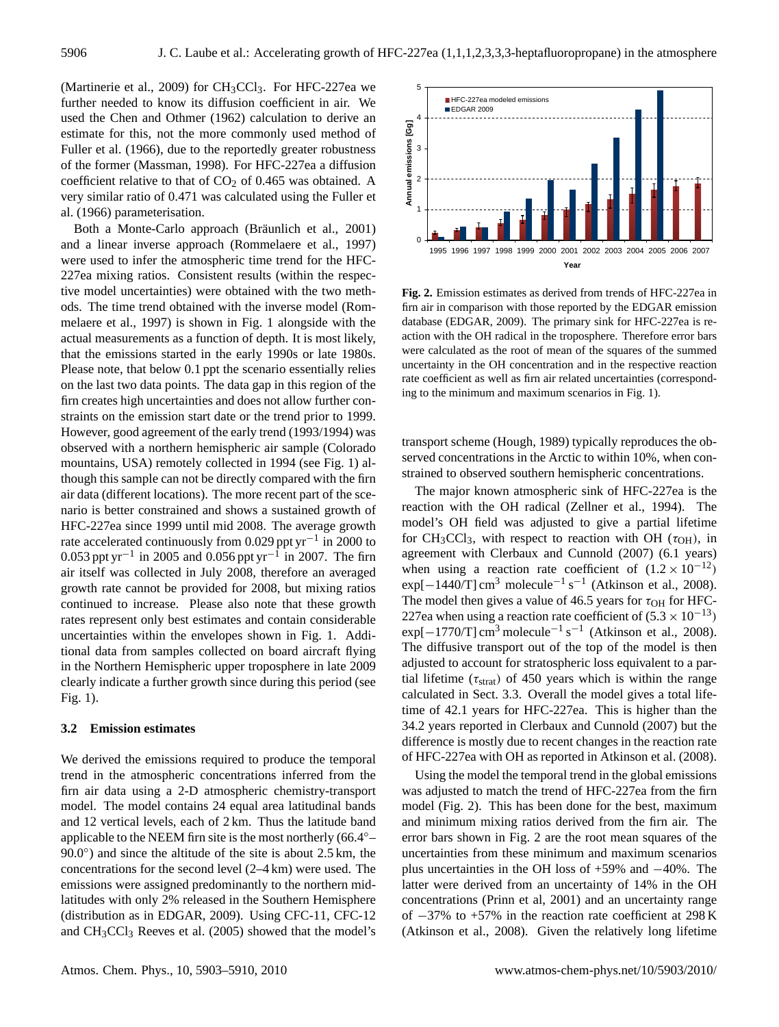(Martinerie et al., 2009) for  $CH<sub>3</sub>CCl<sub>3</sub>$ . For HFC-227ea we further needed to know its diffusion coefficient in air. We used the Chen and Othmer (1962) calculation to derive an estimate for this, not the more commonly used method of Fuller et al. (1966), due to the reportedly greater robustness of the former (Massman, 1998). For HFC-227ea a diffusion coefficient relative to that of  $CO<sub>2</sub>$  of 0.465 was obtained. A very similar ratio of 0.471 was calculated using the Fuller et al. (1966) parameterisation.

Both a Monte-Carlo approach (Bräunlich et al., 2001) and a linear inverse approach (Rommelaere et al., 1997) were used to infer the atmospheric time trend for the HFC-227ea mixing ratios. Consistent results (within the respective model uncertainties) were obtained with the two methods. The time trend obtained with the inverse model (Rommelaere et al., 1997) is shown in Fig. 1 alongside with the actual measurements as a function of depth. It is most likely, that the emissions started in the early 1990s or late 1980s. Please note, that below 0.1 ppt the scenario essentially relies on the last two data points. The data gap in this region of the firn creates high uncertainties and does not allow further constraints on the emission start date or the trend prior to 1999. However, good agreement of the early trend (1993/1994) was observed with a northern hemispheric air sample (Colorado mountains, USA) remotely collected in 1994 (see Fig. 1) although this sample can not be directly compared with the firn air data (different locations). The more recent part of the scenario is better constrained and shows a sustained growth of HFC-227ea since 1999 until mid 2008. The average growth rate accelerated continuously from 0.029 ppt yr<sup>-1</sup> in 2000 to 0.053 ppt yr<sup>-1</sup> in 2005 and 0.056 ppt yr<sup>-1</sup> in 2007. The firm air itself was collected in July 2008, therefore an averaged growth rate cannot be provided for 2008, but mixing ratios continued to increase. Please also note that these growth rates represent only best estimates and contain considerable uncertainties within the envelopes shown in Fig. 1. Additional data from samples collected on board aircraft flying in the Northern Hemispheric upper troposphere in late 2009 clearly indicate a further growth since during this period (see Fig. 1).

#### **3.2 Emission estimates**

We derived the emissions required to produce the temporal trend in the atmospheric concentrations inferred from the firn air data using a 2-D atmospheric chemistry-transport model. The model contains 24 equal area latitudinal bands and 12 vertical levels, each of 2 km. Thus the latitude band applicable to the NEEM firn site is the most northerly (66.4◦–  $90.0°$ ) and since the altitude of the site is about 2.5 km, the concentrations for the second level (2–4 km) were used. The emissions were assigned predominantly to the northern midlatitudes with only 2% released in the Southern Hemisphere (distribution as in EDGAR, 2009). Using CFC-11, CFC-12 and  $CH<sub>3</sub>CCl<sub>3</sub>$  Reeves et al. (2005) showed that the model's



**Fig. 2.** Emission estimates as derived from trends of HFC-227ea in firn air in comparison with those reported by the EDGAR emission database (EDGAR, 2009). The primary sink for HFC-227ea is reaction with the OH radical in the troposphere. Therefore error bars were calculated as the root of mean of the squares of the summed uncertainty in the OH concentration and in the respective reaction rate coefficient as well as firn air related uncertainties (corresponding to the minimum and maximum scenarios in Fig. 1).

transport scheme (Hough, 1989) typically reproduces the observed concentrations in the Arctic to within 10%, when constrained to observed southern hemispheric concentrations.

The major known atmospheric sink of HFC-227ea is the reaction with the OH radical (Zellner et al., 1994). The model's OH field was adjusted to give a partial lifetime for CH<sub>3</sub>CCl<sub>3</sub>, with respect to reaction with OH ( $\tau$ <sub>OH</sub>), in agreement with Clerbaux and Cunnold (2007) (6.1 years) when using a reaction rate coefficient of  $(1.2 \times 10^{-12})$  $\exp[-1440/T]$  cm<sup>3</sup> molecule<sup>-1</sup> s<sup>-1</sup> (Atkinson et al., 2008). The model then gives a value of 46.5 years for  $\tau_{OH}$  for HFC-227ea when using a reaction rate coefficient of  $(5.3 \times 10^{-13})$  $\exp[-1770/T]$  cm<sup>3</sup> molecule<sup>-1</sup> s<sup>-1</sup> (Atkinson et al., 2008). The diffusive transport out of the top of the model is then adjusted to account for stratospheric loss equivalent to a partial lifetime ( $\tau_{strat}$ ) of 450 years which is within the range calculated in Sect. 3.3. Overall the model gives a total lifetime of 42.1 years for HFC-227ea. This is higher than the 34.2 years reported in Clerbaux and Cunnold (2007) but the difference is mostly due to recent changes in the reaction rate of HFC-227ea with OH as reported in Atkinson et al. (2008).

Using the model the temporal trend in the global emissions was adjusted to match the trend of HFC-227ea from the firn model (Fig. 2). This has been done for the best, maximum and minimum mixing ratios derived from the firn air. The error bars shown in Fig. 2 are the root mean squares of the uncertainties from these minimum and maximum scenarios plus uncertainties in the OH loss of +59% and −40%. The latter were derived from an uncertainty of 14% in the OH concentrations (Prinn et al, 2001) and an uncertainty range of −37% to +57% in the reaction rate coefficient at 298 K (Atkinson et al., 2008). Given the relatively long lifetime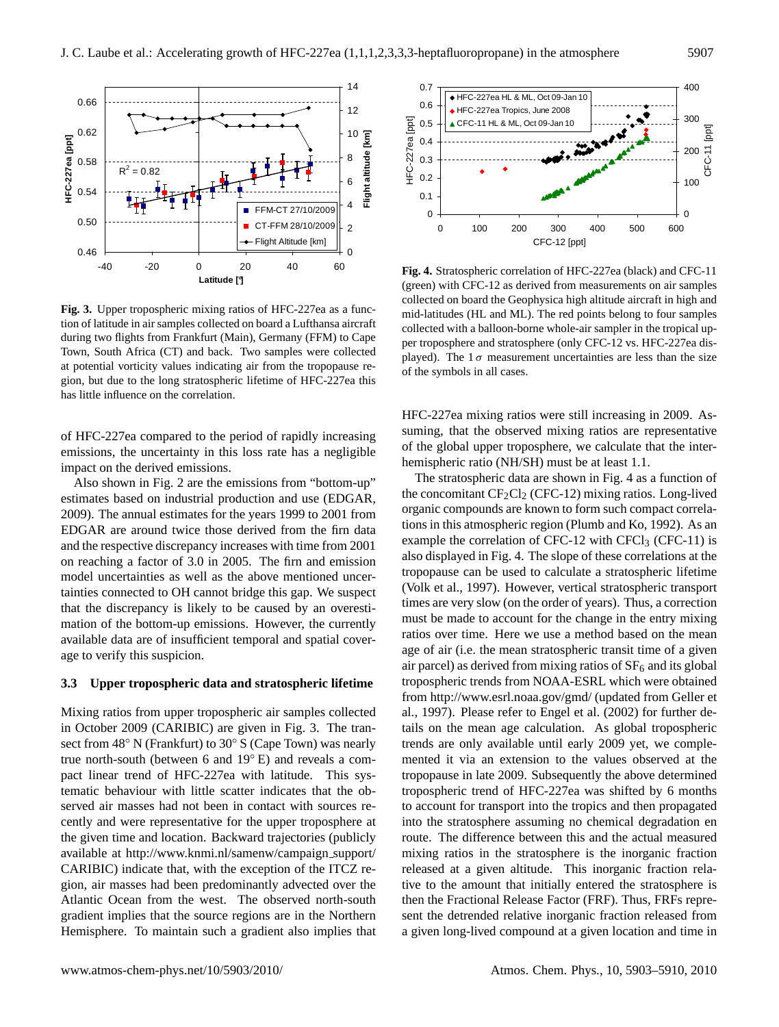

**Fig. 3.** Upper tropospheric mixing ratios of HFC-227ea as a function of latitude in air samples collected on board a Lufthansa aircraft during two flights from Frankfurt (Main), Germany (FFM) to Cape Town, South Africa (CT) and back. Two samples were collected at potential vorticity values indicating air from the tropopause region, but due to the long stratospheric lifetime of HFC-227ea this has little influence on the correlation.

of HFC-227ea compared to the period of rapidly increasing emissions, the uncertainty in this loss rate has a negligible impact on the derived emissions.

Also shown in Fig. 2 are the emissions from "bottom-up" estimates based on industrial production and use (EDGAR, 2009). The annual estimates for the years 1999 to 2001 from EDGAR are around twice those derived from the firn data and the respective discrepancy increases with time from 2001 on reaching a factor of 3.0 in 2005. The firn and emission model uncertainties as well as the above mentioned uncertainties connected to OH cannot bridge this gap. We suspect that the discrepancy is likely to be caused by an overestimation of the bottom-up emissions. However, the currently available data are of insufficient temporal and spatial coverage to verify this suspicion.

#### **3.3 Upper tropospheric data and stratospheric lifetime**

Mixing ratios from upper tropospheric air samples collected in October 2009 (CARIBIC) are given in Fig. 3. The transect from 48◦ N (Frankfurt) to 30◦ S (Cape Town) was nearly true north-south (between 6 and 19◦ E) and reveals a compact linear trend of HFC-227ea with latitude. This systematic behaviour with little scatter indicates that the observed air masses had not been in contact with sources recently and were representative for the upper troposphere at the given time and location. Backward trajectories (publicly available at [http://www.knmi.nl/samenw/campaign](http://www.knmi.nl/samenw/campaign_support/CARIBIC) support/ [CARIBIC\)](http://www.knmi.nl/samenw/campaign_support/CARIBIC) indicate that, with the exception of the ITCZ region, air masses had been predominantly advected over the Atlantic Ocean from the west. The observed north-south gradient implies that the source regions are in the Northern Hemisphere. To maintain such a gradient also implies that



**Fig. 4.** Stratospheric correlation of HFC-227ea (black) and CFC-11 (green) with CFC-12 as derived from measurements on air samples collected on board the Geophysica high altitude aircraft in high and mid-latitudes (HL and ML). The red points belong to four samples collected with a balloon-borne whole-air sampler in the tropical upper troposphere and stratosphere (only CFC-12 vs. HFC-227ea displayed). The  $1\sigma$  measurement uncertainties are less than the size of the symbols in all cases.

HFC-227ea mixing ratios were still increasing in 2009. Assuming, that the observed mixing ratios are representative of the global upper troposphere, we calculate that the interhemispheric ratio (NH/SH) must be at least 1.1.

The stratospheric data are shown in Fig. 4 as a function of the concomitant  $CF_2Cl_2$  (CFC-12) mixing ratios. Long-lived organic compounds are known to form such compact correlations in this atmospheric region (Plumb and Ko, 1992). As an example the correlation of CFC-12 with CFCl<sub>3</sub> (CFC-11) is also displayed in Fig. 4. The slope of these correlations at the tropopause can be used to calculate a stratospheric lifetime (Volk et al., 1997). However, vertical stratospheric transport times are very slow (on the order of years). Thus, a correction must be made to account for the change in the entry mixing ratios over time. Here we use a method based on the mean age of air (i.e. the mean stratospheric transit time of a given air parcel) as derived from mixing ratios of  $SF<sub>6</sub>$  and its global tropospheric trends from NOAA-ESRL which were obtained from <http://www.esrl.noaa.gov/gmd/> (updated from Geller et al., 1997). Please refer to Engel et al. (2002) for further details on the mean age calculation. As global tropospheric trends are only available until early 2009 yet, we complemented it via an extension to the values observed at the tropopause in late 2009. Subsequently the above determined tropospheric trend of HFC-227ea was shifted by 6 months to account for transport into the tropics and then propagated into the stratosphere assuming no chemical degradation en route. The difference between this and the actual measured mixing ratios in the stratosphere is the inorganic fraction released at a given altitude. This inorganic fraction relative to the amount that initially entered the stratosphere is then the Fractional Release Factor (FRF). Thus, FRFs represent the detrended relative inorganic fraction released from a given long-lived compound at a given location and time in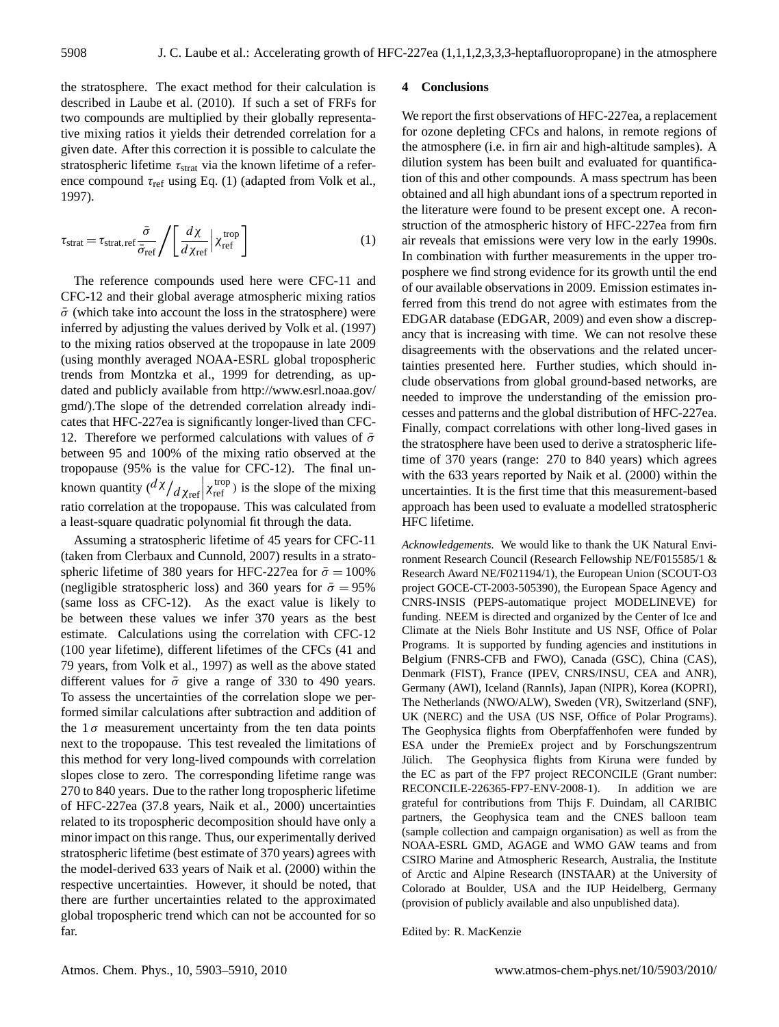the stratosphere. The exact method for their calculation is described in Laube et al. (2010). If such a set of FRFs for two compounds are multiplied by their globally representative mixing ratios it yields their detrended correlation for a given date. After this correction it is possible to calculate the stratospheric lifetime  $\tau_{strat}$  via the known lifetime of a reference compound  $\tau_{ref}$  using Eq. (1) (adapted from Volk et al., 1997).

$$
\tau_{\text{strat}} = \tau_{\text{strat,ref}} \frac{\bar{\sigma}}{\bar{\sigma}_{\text{ref}}} / \left[ \frac{d\chi}{d\chi_{\text{ref}}} \middle| \chi_{\text{ref}}^{\text{trop}} \right] \tag{1}
$$

The reference compounds used here were CFC-11 and CFC-12 and their global average atmospheric mixing ratios  $\bar{\sigma}$  (which take into account the loss in the stratosphere) were inferred by adjusting the values derived by Volk et al. (1997) to the mixing ratios observed at the tropopause in late 2009 (using monthly averaged NOAA-ESRL global tropospheric trends from Montzka et al., 1999 for detrending, as updated and publicly available from [http://www.esrl.noaa.gov/](http://www.esrl.noaa.gov/gmd/) [gmd/\)](http://www.esrl.noaa.gov/gmd/).The slope of the detrended correlation already indicates that HFC-227ea is significantly longer-lived than CFC-12. Therefore we performed calculations with values of  $\bar{\sigma}$ between 95 and 100% of the mixing ratio observed at the tropopause (95% is the value for CFC-12). The final unknown quantity  $\left(\frac{d\chi}{dx_{\text{ref}}}\right)_{\text{Xref}}$  ( $\chi_{\text{ref}}$ ) is the slope of the mixing ratio correlation at the tropopause. This was calculated from a least-square quadratic polynomial fit through the data.

Assuming a stratospheric lifetime of 45 years for CFC-11 (taken from Clerbaux and Cunnold, 2007) results in a stratospheric lifetime of 380 years for HFC-227ea for  $\bar{\sigma} = 100\%$ (negligible stratospheric loss) and 360 years for  $\bar{\sigma} = 95\%$ (same loss as CFC-12). As the exact value is likely to be between these values we infer 370 years as the best estimate. Calculations using the correlation with CFC-12 (100 year lifetime), different lifetimes of the CFCs (41 and 79 years, from Volk et al., 1997) as well as the above stated different values for  $\bar{\sigma}$  give a range of 330 to 490 years. To assess the uncertainties of the correlation slope we performed similar calculations after subtraction and addition of the  $1\sigma$  measurement uncertainty from the ten data points next to the tropopause. This test revealed the limitations of this method for very long-lived compounds with correlation slopes close to zero. The corresponding lifetime range was 270 to 840 years. Due to the rather long tropospheric lifetime of HFC-227ea (37.8 years, Naik et al., 2000) uncertainties related to its tropospheric decomposition should have only a minor impact on this range. Thus, our experimentally derived stratospheric lifetime (best estimate of 370 years) agrees with the model-derived 633 years of Naik et al. (2000) within the respective uncertainties. However, it should be noted, that there are further uncertainties related to the approximated global tropospheric trend which can not be accounted for so far.

## **4 Conclusions**

We report the first observations of HFC-227ea, a replacement for ozone depleting CFCs and halons, in remote regions of the atmosphere (i.e. in firn air and high-altitude samples). A dilution system has been built and evaluated for quantification of this and other compounds. A mass spectrum has been obtained and all high abundant ions of a spectrum reported in the literature were found to be present except one. A reconstruction of the atmospheric history of HFC-227ea from firn air reveals that emissions were very low in the early 1990s. In combination with further measurements in the upper troposphere we find strong evidence for its growth until the end of our available observations in 2009. Emission estimates inferred from this trend do not agree with estimates from the EDGAR database (EDGAR, 2009) and even show a discrepancy that is increasing with time. We can not resolve these disagreements with the observations and the related uncertainties presented here. Further studies, which should include observations from global ground-based networks, are needed to improve the understanding of the emission processes and patterns and the global distribution of HFC-227ea. Finally, compact correlations with other long-lived gases in the stratosphere have been used to derive a stratospheric lifetime of 370 years (range: 270 to 840 years) which agrees with the 633 years reported by Naik et al. (2000) within the uncertainties. It is the first time that this measurement-based approach has been used to evaluate a modelled stratospheric HFC lifetime.

*Acknowledgements.* We would like to thank the UK Natural Environment Research Council (Research Fellowship NE/F015585/1 & Research Award NE/F021194/1), the European Union (SCOUT-O3 project GOCE-CT-2003-505390), the European Space Agency and CNRS-INSIS (PEPS-automatique project MODELINEVE) for funding. NEEM is directed and organized by the Center of Ice and Climate at the Niels Bohr Institute and US NSF, Office of Polar Programs. It is supported by funding agencies and institutions in Belgium (FNRS-CFB and FWO), Canada (GSC), China (CAS), Denmark (FIST), France (IPEV, CNRS/INSU, CEA and ANR), Germany (AWI), Iceland (RannIs), Japan (NIPR), Korea (KOPRI), The Netherlands (NWO/ALW), Sweden (VR), Switzerland (SNF), UK (NERC) and the USA (US NSF, Office of Polar Programs). The Geophysica flights from Oberpfaffenhofen were funded by ESA under the PremieEx project and by Forschungszentrum Jülich. The Geophysica flights from Kiruna were funded by the EC as part of the FP7 project RECONCILE (Grant number: RECONCILE-226365-FP7-ENV-2008-1). In addition we are grateful for contributions from Thijs F. Duindam, all CARIBIC partners, the Geophysica team and the CNES balloon team (sample collection and campaign organisation) as well as from the NOAA-ESRL GMD, AGAGE and WMO GAW teams and from CSIRO Marine and Atmospheric Research, Australia, the Institute of Arctic and Alpine Research (INSTAAR) at the University of Colorado at Boulder, USA and the IUP Heidelberg, Germany (provision of publicly available and also unpublished data).

Edited by: R. MacKenzie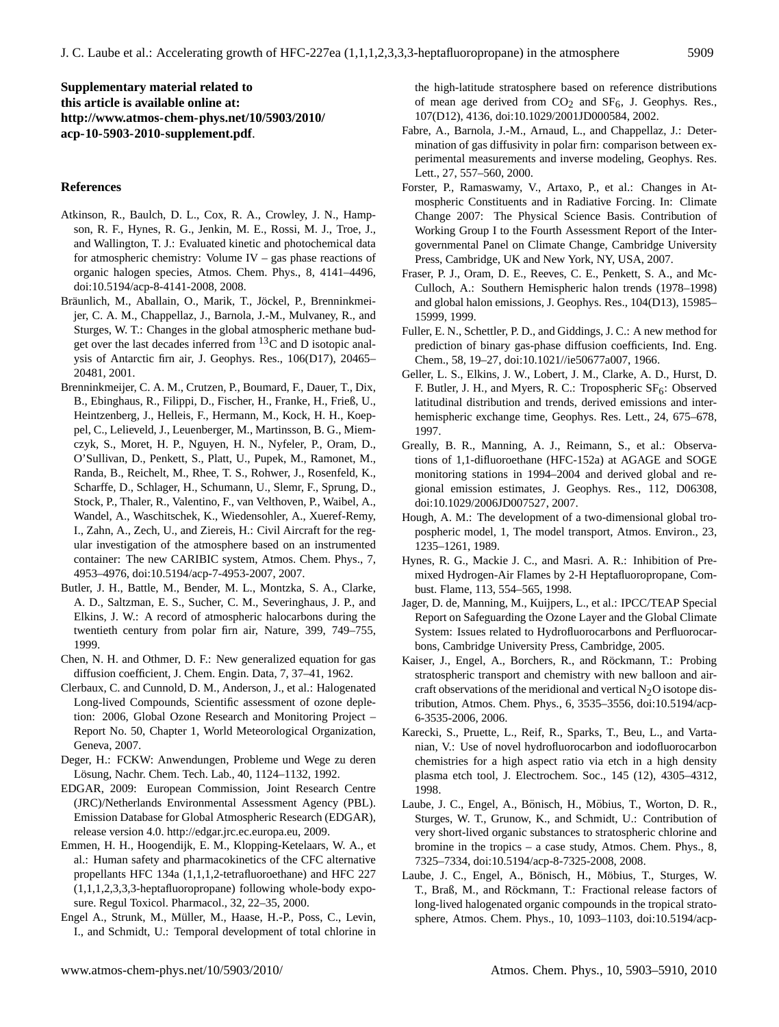**Supplementary material related to this article is available online at: [http://www.atmos-chem-phys.net/10/5903/2010/](http://www.atmos-chem-phys.net/10/5903/2010/acp-10-5903-2010-supplement.pdf) [acp-10-5903-2010-supplement.pdf](http://www.atmos-chem-phys.net/10/5903/2010/acp-10-5903-2010-supplement.pdf)**.

## **References**

- Atkinson, R., Baulch, D. L., Cox, R. A., Crowley, J. N., Hampson, R. F., Hynes, R. G., Jenkin, M. E., Rossi, M. J., Troe, J., and Wallington, T. J.: Evaluated kinetic and photochemical data for atmospheric chemistry: Volume IV – gas phase reactions of organic halogen species, Atmos. Chem. Phys., 8, 4141–4496, doi:10.5194/acp-8-4141-2008, 2008.
- Bräunlich, M., Aballain, O., Marik, T., Jöckel, P., Brenninkmeijer, C. A. M., Chappellaz, J., Barnola, J.-M., Mulvaney, R., and Sturges, W. T.: Changes in the global atmospheric methane budget over the last decades inferred from  ${}^{13}$ C and D isotopic analysis of Antarctic firn air, J. Geophys. Res., 106(D17), 20465– 20481, 2001.
- Brenninkmeijer, C. A. M., Crutzen, P., Boumard, F., Dauer, T., Dix, B., Ebinghaus, R., Filippi, D., Fischer, H., Franke, H., Frieß, U., Heintzenberg, J., Helleis, F., Hermann, M., Kock, H. H., Koeppel, C., Lelieveld, J., Leuenberger, M., Martinsson, B. G., Miemczyk, S., Moret, H. P., Nguyen, H. N., Nyfeler, P., Oram, D., O'Sullivan, D., Penkett, S., Platt, U., Pupek, M., Ramonet, M., Randa, B., Reichelt, M., Rhee, T. S., Rohwer, J., Rosenfeld, K., Scharffe, D., Schlager, H., Schumann, U., Slemr, F., Sprung, D., Stock, P., Thaler, R., Valentino, F., van Velthoven, P., Waibel, A., Wandel, A., Waschitschek, K., Wiedensohler, A., Xueref-Remy, I., Zahn, A., Zech, U., and Ziereis, H.: Civil Aircraft for the regular investigation of the atmosphere based on an instrumented container: The new CARIBIC system, Atmos. Chem. Phys., 7, 4953–4976, doi:10.5194/acp-7-4953-2007, 2007.
- Butler, J. H., Battle, M., Bender, M. L., Montzka, S. A., Clarke, A. D., Saltzman, E. S., Sucher, C. M., Severinghaus, J. P., and Elkins, J. W.: A record of atmospheric halocarbons during the twentieth century from polar firn air, Nature, 399, 749–755, 1999.
- Chen, N. H. and Othmer, D. F.: New generalized equation for gas diffusion coefficient, J. Chem. Engin. Data, 7, 37–41, 1962.
- Clerbaux, C. and Cunnold, D. M., Anderson, J., et al.: Halogenated Long-lived Compounds, Scientific assessment of ozone depletion: 2006, Global Ozone Research and Monitoring Project – Report No. 50, Chapter 1, World Meteorological Organization, Geneva, 2007.
- Deger, H.: FCKW: Anwendungen, Probleme und Wege zu deren Lösung, Nachr. Chem. Tech. Lab., 40, 1124–1132, 1992.
- EDGAR, 2009: European Commission, Joint Research Centre (JRC)/Netherlands Environmental Assessment Agency (PBL). Emission Database for Global Atmospheric Research (EDGAR), release version 4.0. [http://edgar.jrc.ec.europa.eu,](http://edgar.jrc.ec.europa.eu) 2009.
- Emmen, H. H., Hoogendijk, E. M., Klopping-Ketelaars, W. A., et al.: Human safety and pharmacokinetics of the CFC alternative propellants HFC 134a (1,1,1,2-tetrafluoroethane) and HFC 227 (1,1,1,2,3,3,3-heptafluoropropane) following whole-body exposure. Regul Toxicol. Pharmacol., 32, 22–35, 2000.
- Engel A., Strunk, M., Müller, M., Haase, H.-P., Poss, C., Levin, I., and Schmidt, U.: Temporal development of total chlorine in

the high-latitude stratosphere based on reference distributions of mean age derived from  $CO<sub>2</sub>$  and  $SF<sub>6</sub>$ , J. Geophys. Res., 107(D12), 4136, doi:10.1029/2001JD000584, 2002.

- Fabre, A., Barnola, J.-M., Arnaud, L., and Chappellaz, J.: Determination of gas diffusivity in polar firn: comparison between experimental measurements and inverse modeling, Geophys. Res. Lett., 27, 557–560, 2000.
- Forster, P., Ramaswamy, V., Artaxo, P., et al.: Changes in Atmospheric Constituents and in Radiative Forcing. In: Climate Change 2007: The Physical Science Basis. Contribution of Working Group I to the Fourth Assessment Report of the Intergovernmental Panel on Climate Change, Cambridge University Press, Cambridge, UK and New York, NY, USA, 2007.
- Fraser, P. J., Oram, D. E., Reeves, C. E., Penkett, S. A., and Mc-Culloch, A.: Southern Hemispheric halon trends (1978–1998) and global halon emissions, J. Geophys. Res., 104(D13), 15985– 15999, 1999.
- Fuller, E. N., Schettler, P. D., and Giddings, J. C.: A new method for prediction of binary gas-phase diffusion coefficients, Ind. Eng. Chem., 58, 19–27, doi:10.1021//ie50677a007, 1966.
- Geller, L. S., Elkins, J. W., Lobert, J. M., Clarke, A. D., Hurst, D. F. Butler, J. H., and Myers, R. C.: Tropospheric  $SF<sub>6</sub>$ : Observed latitudinal distribution and trends, derived emissions and interhemispheric exchange time, Geophys. Res. Lett., 24, 675–678, 1997.
- Greally, B. R., Manning, A. J., Reimann, S., et al.: Observations of 1,1-difluoroethane (HFC-152a) at AGAGE and SOGE monitoring stations in 1994–2004 and derived global and regional emission estimates, J. Geophys. Res., 112, D06308, doi:10.1029/2006JD007527, 2007.
- Hough, A. M.: The development of a two-dimensional global tropospheric model, 1, The model transport, Atmos. Environ., 23, 1235–1261, 1989.
- Hynes, R. G., Mackie J. C., and Masri. A. R.: Inhibition of Premixed Hydrogen-Air Flames by 2-H Heptafluoropropane, Combust. Flame, 113, 554–565, 1998.
- Jager, D. de, Manning, M., Kuijpers, L., et al.: IPCC/TEAP Special Report on Safeguarding the Ozone Layer and the Global Climate System: Issues related to Hydrofluorocarbons and Perfluorocarbons, Cambridge University Press, Cambridge, 2005.
- Kaiser, J., Engel, A., Borchers, R., and Röckmann, T.: Probing stratospheric transport and chemistry with new balloon and aircraft observations of the meridional and vertical  $N_2O$  isotope distribution, Atmos. Chem. Phys., 6, 3535–3556, doi:10.5194/acp-6-3535-2006, 2006.
- Karecki, S., Pruette, L., Reif, R., Sparks, T., Beu, L., and Vartanian, V.: Use of novel hydrofluorocarbon and iodofluorocarbon chemistries for a high aspect ratio via etch in a high density plasma etch tool, J. Electrochem. Soc., 145 (12), 4305–4312, 1998.
- Laube, J. C., Engel, A., Bönisch, H., Möbius, T., Worton, D. R., Sturges, W. T., Grunow, K., and Schmidt, U.: Contribution of very short-lived organic substances to stratospheric chlorine and bromine in the tropics – a case study, Atmos. Chem. Phys., 8, 7325–7334, doi:10.5194/acp-8-7325-2008, 2008.
- Laube, J. C., Engel, A., Bönisch, H., Möbius, T., Sturges, W. T., Braß, M., and Röckmann, T.: Fractional release factors of long-lived halogenated organic compounds in the tropical stratosphere, Atmos. Chem. Phys., 10, 1093–1103, doi:10.5194/acp-